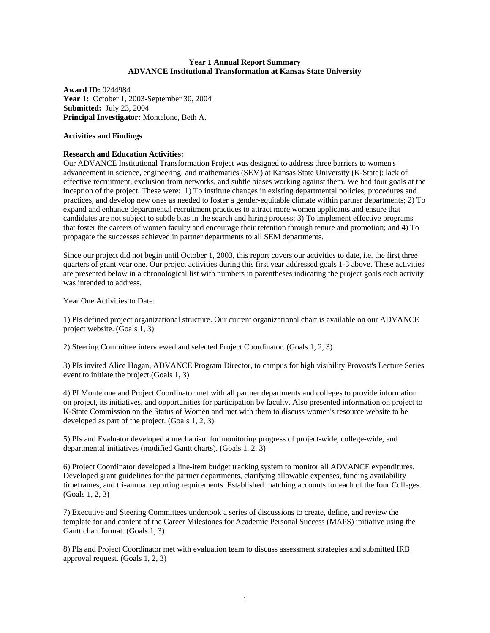## **Year 1 Annual Report Summary ADVANCE Institutional Transformation at Kansas State University**

**Award ID:** 0244984 **Year 1:** October 1, 2003-September 30, 2004 **Submitted:** July 23, 2004 **Principal Investigator:** Montelone, Beth A.

#### **Activities and Findings**

#### **Research and Education Activities:**

Our ADVANCE Institutional Transformation Project was designed to address three barriers to women's advancement in science, engineering, and mathematics (SEM) at Kansas State University (K-State): lack of effective recruitment, exclusion from networks, and subtle biases working against them. We had four goals at the inception of the project. These were: 1) To institute changes in existing departmental policies, procedures and practices, and develop new ones as needed to foster a gender-equitable climate within partner departments; 2) To expand and enhance departmental recruitment practices to attract more women applicants and ensure that candidates are not subject to subtle bias in the search and hiring process; 3) To implement effective programs that foster the careers of women faculty and encourage their retention through tenure and promotion; and 4) To propagate the successes achieved in partner departments to all SEM departments.

Since our project did not begin until October 1, 2003, this report covers our activities to date, i.e. the first three quarters of grant year one. Our project activities during this first year addressed goals 1-3 above. These activities are presented below in a chronological list with numbers in parentheses indicating the project goals each activity was intended to address.

Year One Activities to Date:

1) PIs defined project organizational structure. Our current organizational chart is available on our ADVANCE project website. (Goals 1, 3)

2) Steering Committee interviewed and selected Project Coordinator. (Goals 1, 2, 3)

3) PIs invited Alice Hogan, ADVANCE Program Director, to campus for high visibility Provost's Lecture Series event to initiate the project.(Goals 1, 3)

4) PI Montelone and Project Coordinator met with all partner departments and colleges to provide information on project, its initiatives, and opportunities for participation by faculty. Also presented information on project to K-State Commission on the Status of Women and met with them to discuss women's resource website to be developed as part of the project. (Goals 1, 2, 3)

5) PIs and Evaluator developed a mechanism for monitoring progress of project-wide, college-wide, and departmental initiatives (modified Gantt charts). (Goals 1, 2, 3)

6) Project Coordinator developed a line-item budget tracking system to monitor all ADVANCE expenditures. Developed grant guidelines for the partner departments, clarifying allowable expenses, funding availability timeframes, and tri-annual reporting requirements. Established matching accounts for each of the four Colleges. (Goals 1, 2, 3)

7) Executive and Steering Committees undertook a series of discussions to create, define, and review the template for and content of the Career Milestones for Academic Personal Success (MAPS) initiative using the Gantt chart format. (Goals 1, 3)

8) PIs and Project Coordinator met with evaluation team to discuss assessment strategies and submitted IRB approval request. (Goals 1, 2, 3)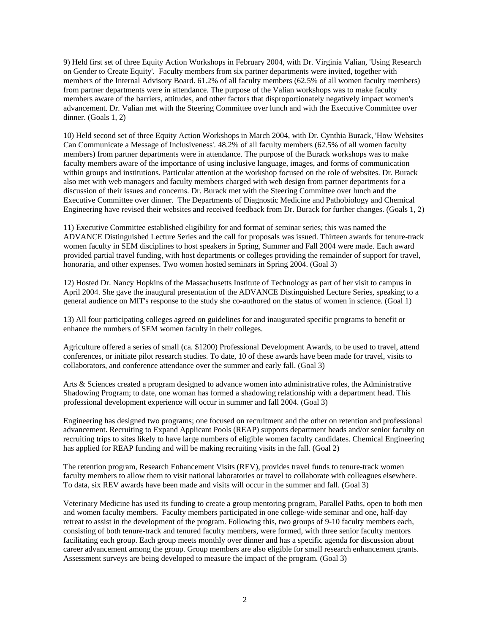9) Held first set of three Equity Action Workshops in February 2004, with Dr. Virginia Valian, 'Using Research on Gender to Create Equity'. Faculty members from six partner departments were invited, together with members of the Internal Advisory Board. 61.2% of all faculty members (62.5% of all women faculty members) from partner departments were in attendance. The purpose of the Valian workshops was to make faculty members aware of the barriers, attitudes, and other factors that disproportionately negatively impact women's advancement. Dr. Valian met with the Steering Committee over lunch and with the Executive Committee over dinner. (Goals 1, 2)

10) Held second set of three Equity Action Workshops in March 2004, with Dr. Cynthia Burack, 'How Websites Can Communicate a Message of Inclusiveness'. 48.2% of all faculty members (62.5% of all women faculty members) from partner departments were in attendance. The purpose of the Burack workshops was to make faculty members aware of the importance of using inclusive language, images, and forms of communication within groups and institutions. Particular attention at the workshop focused on the role of websites. Dr. Burack also met with web managers and faculty members charged with web design from partner departments for a discussion of their issues and concerns. Dr. Burack met with the Steering Committee over lunch and the Executive Committee over dinner. The Departments of Diagnostic Medicine and Pathobiology and Chemical Engineering have revised their websites and received feedback from Dr. Burack for further changes. (Goals 1, 2)

11) Executive Committee established eligibility for and format of seminar series; this was named the ADVANCE Distinguished Lecture Series and the call for proposals was issued. Thirteen awards for tenure-track women faculty in SEM disciplines to host speakers in Spring, Summer and Fall 2004 were made. Each award provided partial travel funding, with host departments or colleges providing the remainder of support for travel, honoraria, and other expenses. Two women hosted seminars in Spring 2004. (Goal 3)

12) Hosted Dr. Nancy Hopkins of the Massachusetts Institute of Technology as part of her visit to campus in April 2004. She gave the inaugural presentation of the ADVANCE Distinguished Lecture Series, speaking to a general audience on MIT's response to the study she co-authored on the status of women in science. (Goal 1)

13) All four participating colleges agreed on guidelines for and inaugurated specific programs to benefit or enhance the numbers of SEM women faculty in their colleges.

Agriculture offered a series of small (ca. \$1200) Professional Development Awards, to be used to travel, attend conferences, or initiate pilot research studies. To date, 10 of these awards have been made for travel, visits to collaborators, and conference attendance over the summer and early fall. (Goal 3)

Arts & Sciences created a program designed to advance women into administrative roles, the Administrative Shadowing Program; to date, one woman has formed a shadowing relationship with a department head. This professional development experience will occur in summer and fall 2004. (Goal 3)

Engineering has designed two programs; one focused on recruitment and the other on retention and professional advancement. Recruiting to Expand Applicant Pools (REAP) supports department heads and/or senior faculty on recruiting trips to sites likely to have large numbers of eligible women faculty candidates. Chemical Engineering has applied for REAP funding and will be making recruiting visits in the fall. (Goal 2)

The retention program, Research Enhancement Visits (REV), provides travel funds to tenure-track women faculty members to allow them to visit national laboratories or travel to collaborate with colleagues elsewhere. To data, six REV awards have been made and visits will occur in the summer and fall. (Goal 3)

Veterinary Medicine has used its funding to create a group mentoring program, Parallel Paths, open to both men and women faculty members. Faculty members participated in one college-wide seminar and one, half-day retreat to assist in the development of the program. Following this, two groups of 9-10 faculty members each, consisting of both tenure-track and tenured faculty members, were formed, with three senior faculty mentors facilitating each group. Each group meets monthly over dinner and has a specific agenda for discussion about career advancement among the group. Group members are also eligible for small research enhancement grants. Assessment surveys are being developed to measure the impact of the program. (Goal 3)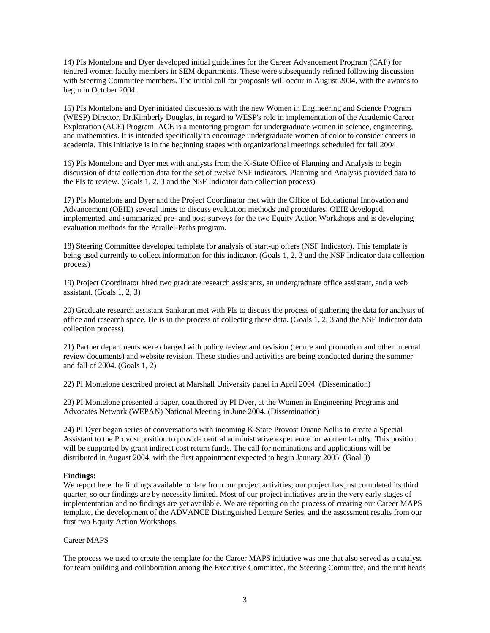14) PIs Montelone and Dyer developed initial guidelines for the Career Advancement Program (CAP) for tenured women faculty members in SEM departments. These were subsequently refined following discussion with Steering Committee members. The initial call for proposals will occur in August 2004, with the awards to begin in October 2004.

15) PIs Montelone and Dyer initiated discussions with the new Women in Engineering and Science Program (WESP) Director, Dr.Kimberly Douglas, in regard to WESP's role in implementation of the Academic Career Exploration (ACE) Program. ACE is a mentoring program for undergraduate women in science, engineering, and mathematics. It is intended specifically to encourage undergraduate women of color to consider careers in academia. This initiative is in the beginning stages with organizational meetings scheduled for fall 2004.

16) PIs Montelone and Dyer met with analysts from the K-State Office of Planning and Analysis to begin discussion of data collection data for the set of twelve NSF indicators. Planning and Analysis provided data to the PIs to review. (Goals 1, 2, 3 and the NSF Indicator data collection process)

17) PIs Montelone and Dyer and the Project Coordinator met with the Office of Educational Innovation and Advancement (OEIE) several times to discuss evaluation methods and procedures. OEIE developed, implemented, and summarized pre- and post-surveys for the two Equity Action Workshops and is developing evaluation methods for the Parallel-Paths program.

18) Steering Committee developed template for analysis of start-up offers (NSF Indicator). This template is being used currently to collect information for this indicator. (Goals 1, 2, 3 and the NSF Indicator data collection process)

19) Project Coordinator hired two graduate research assistants, an undergraduate office assistant, and a web assistant. (Goals 1, 2, 3)

20) Graduate research assistant Sankaran met with PIs to discuss the process of gathering the data for analysis of office and research space. He is in the process of collecting these data. (Goals 1, 2, 3 and the NSF Indicator data collection process)

21) Partner departments were charged with policy review and revision (tenure and promotion and other internal review documents) and website revision. These studies and activities are being conducted during the summer and fall of 2004. (Goals 1, 2)

22) PI Montelone described project at Marshall University panel in April 2004. (Dissemination)

23) PI Montelone presented a paper, coauthored by PI Dyer, at the Women in Engineering Programs and Advocates Network (WEPAN) National Meeting in June 2004. (Dissemination)

24) PI Dyer began series of conversations with incoming K-State Provost Duane Nellis to create a Special Assistant to the Provost position to provide central administrative experience for women faculty. This position will be supported by grant indirect cost return funds. The call for nominations and applications will be distributed in August 2004, with the first appointment expected to begin January 2005. (Goal 3)

# **Findings:**

We report here the findings available to date from our project activities; our project has just completed its third quarter, so our findings are by necessity limited. Most of our project initiatives are in the very early stages of implementation and no findings are yet available. We are reporting on the process of creating our Career MAPS template, the development of the ADVANCE Distinguished Lecture Series, and the assessment results from our first two Equity Action Workshops.

#### Career MAPS

The process we used to create the template for the Career MAPS initiative was one that also served as a catalyst for team building and collaboration among the Executive Committee, the Steering Committee, and the unit heads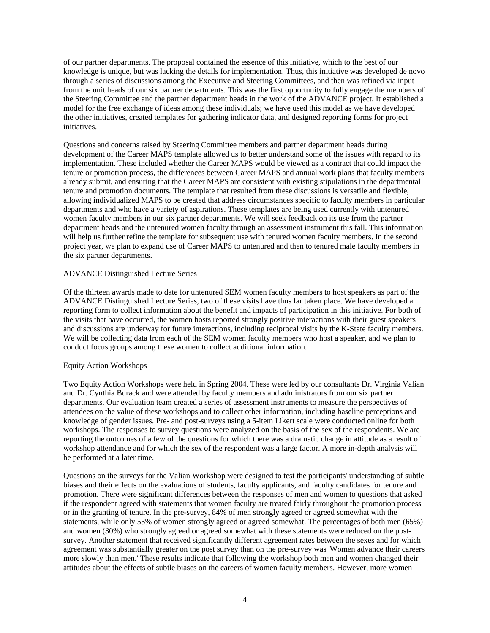of our partner departments. The proposal contained the essence of this initiative, which to the best of our knowledge is unique, but was lacking the details for implementation. Thus, this initiative was developed de novo through a series of discussions among the Executive and Steering Committees, and then was refined via input from the unit heads of our six partner departments. This was the first opportunity to fully engage the members of the Steering Committee and the partner department heads in the work of the ADVANCE project. It established a model for the free exchange of ideas among these individuals; we have used this model as we have developed the other initiatives, created templates for gathering indicator data, and designed reporting forms for project initiatives.

Questions and concerns raised by Steering Committee members and partner department heads during development of the Career MAPS template allowed us to better understand some of the issues with regard to its implementation. These included whether the Career MAPS would be viewed as a contract that could impact the tenure or promotion process, the differences between Career MAPS and annual work plans that faculty members already submit, and ensuring that the Career MAPS are consistent with existing stipulations in the departmental tenure and promotion documents. The template that resulted from these discussions is versatile and flexible, allowing individualized MAPS to be created that address circumstances specific to faculty members in particular departments and who have a variety of aspirations. These templates are being used currently with untenured women faculty members in our six partner departments. We will seek feedback on its use from the partner department heads and the untenured women faculty through an assessment instrument this fall. This information will help us further refine the template for subsequent use with tenured women faculty members. In the second project year, we plan to expand use of Career MAPS to untenured and then to tenured male faculty members in the six partner departments.

#### ADVANCE Distinguished Lecture Series

Of the thirteen awards made to date for untenured SEM women faculty members to host speakers as part of the ADVANCE Distinguished Lecture Series, two of these visits have thus far taken place. We have developed a reporting form to collect information about the benefit and impacts of participation in this initiative. For both of the visits that have occurred, the women hosts reported strongly positive interactions with their guest speakers and discussions are underway for future interactions, including reciprocal visits by the K-State faculty members. We will be collecting data from each of the SEM women faculty members who host a speaker, and we plan to conduct focus groups among these women to collect additional information.

#### Equity Action Workshops

Two Equity Action Workshops were held in Spring 2004. These were led by our consultants Dr. Virginia Valian and Dr. Cynthia Burack and were attended by faculty members and administrators from our six partner departments. Our evaluation team created a series of assessment instruments to measure the perspectives of attendees on the value of these workshops and to collect other information, including baseline perceptions and knowledge of gender issues. Pre- and post-surveys using a 5-item Likert scale were conducted online for both workshops. The responses to survey questions were analyzed on the basis of the sex of the respondents. We are reporting the outcomes of a few of the questions for which there was a dramatic change in attitude as a result of workshop attendance and for which the sex of the respondent was a large factor. A more in-depth analysis will be performed at a later time.

Questions on the surveys for the Valian Workshop were designed to test the participants' understanding of subtle biases and their effects on the evaluations of students, faculty applicants, and faculty candidates for tenure and promotion. There were significant differences between the responses of men and women to questions that asked if the respondent agreed with statements that women faculty are treated fairly throughout the promotion process or in the granting of tenure. In the pre-survey, 84% of men strongly agreed or agreed somewhat with the statements, while only 53% of women strongly agreed or agreed somewhat. The percentages of both men (65%) and women (30%) who strongly agreed or agreed somewhat with these statements were reduced on the postsurvey. Another statement that received significantly different agreement rates between the sexes and for which agreement was substantially greater on the post survey than on the pre-survey was 'Women advance their careers more slowly than men.' These results indicate that following the workshop both men and women changed their attitudes about the effects of subtle biases on the careers of women faculty members. However, more women